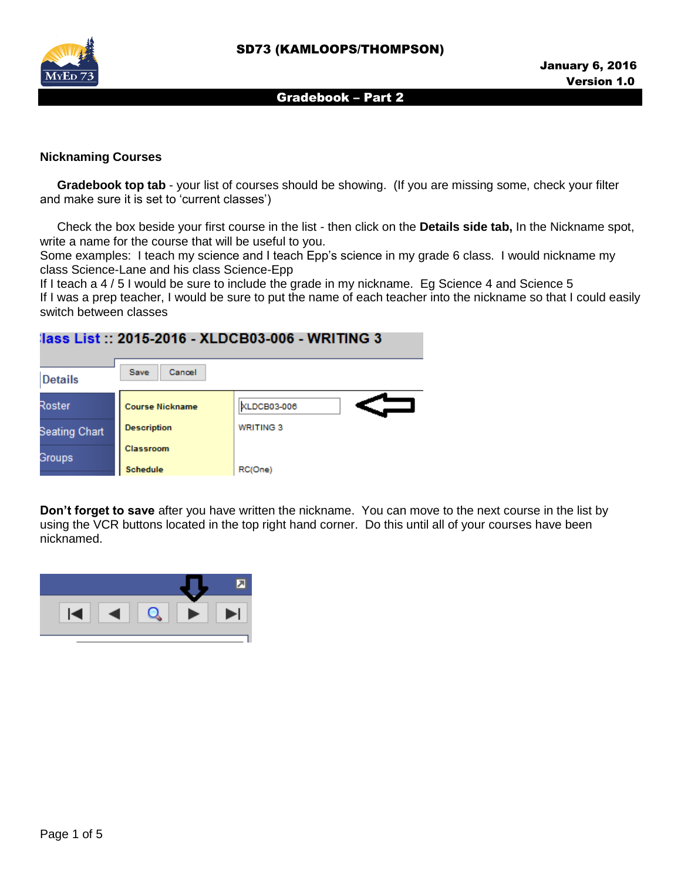

### **Nicknaming Courses**

 **Gradebook top tab** - your list of courses should be showing. (If you are missing some, check your filter and make sure it is set to 'current classes')

Check the box beside your first course in the list - then click on the **Details side tab,** In the Nickname spot, write a name for the course that will be useful to you.

Some examples: I teach my science and I teach Epp's science in my grade 6 class. I would nickname my class Science-Lane and his class Science-Epp

If I teach a 4 / 5 I would be sure to include the grade in my nickname. Eg Science 4 and Science 5 If I was a prep teacher, I would be sure to put the name of each teacher into the nickname so that I could easily switch between classes

# lass List :: 2015-2016 - XLDCB03-006 - WRITING 3



**Don't forget to save** after you have written the nickname. You can move to the next course in the list by using the VCR buttons located in the top right hand corner. Do this until all of your courses have been nicknamed.

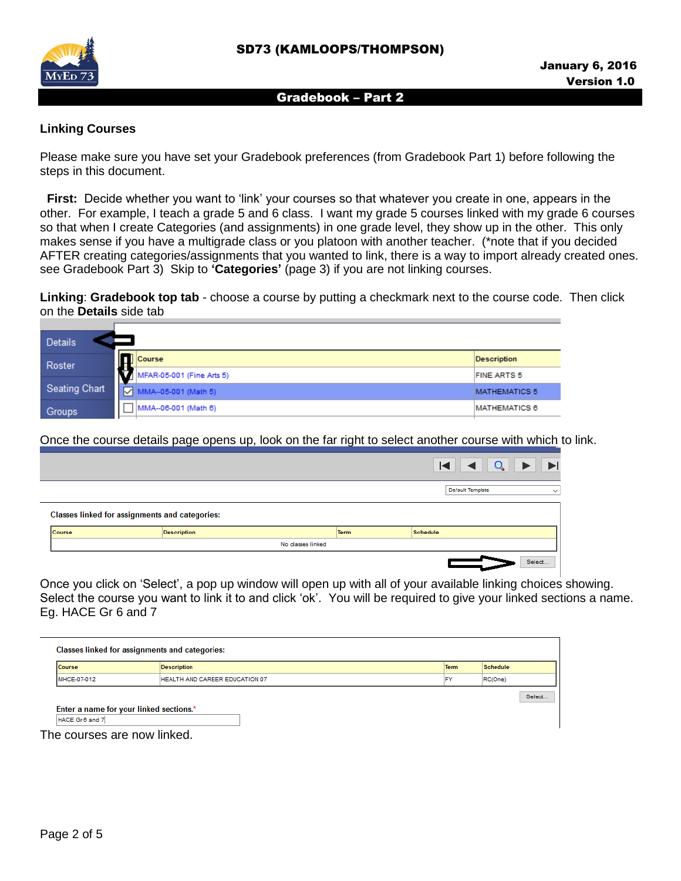

## **Linking Courses**

Please make sure you have set your Gradebook preferences (from Gradebook Part 1) before following the steps in this document.

**First:** Decide whether you want to 'link' your courses so that whatever you create in one, appears in the other. For example, I teach a grade 5 and 6 class. I want my grade 5 courses linked with my grade 6 courses so that when I create Categories (and assignments) in one grade level, they show up in the other. This only makes sense if you have a multigrade class or you platoon with another teacher. (\*note that if you decided AFTER creating categories/assignments that you wanted to link, there is a way to import already created ones. see Gradebook Part 3) Skip to **'Categories'** (page 3) if you are not linking courses.

**Linking**: **Gradebook top tab** - choose a course by putting a checkmark next to the course code. Then click on the **Details** side tab

| <b>Details</b>       |                                 |                      |  |  |  |  |
|----------------------|---------------------------------|----------------------|--|--|--|--|
| Roster               | <b>Course</b>                   | <b>Description</b>   |  |  |  |  |
|                      | ı.<br>MFAR-05-001 (Fine Arts 5) | <b>FINE ARTS 5</b>   |  |  |  |  |
| <b>Seating Chart</b> | MMA--05-001 (Math 5)<br>↜       | <b>MATHEMATICS 5</b> |  |  |  |  |
| Groups               | MMA--06-001 (Math 6)            | <b>MATHEMATICS 6</b> |  |  |  |  |

Once the course details page opens up, look on the far right to select another course with which to link.

|        |                                                       |                   |             |                  | $\begin{array}{c c c c c} \hline \textbf{Q} & \textbf{b} & \textbf{b} \end{array}$ |
|--------|-------------------------------------------------------|-------------------|-------------|------------------|------------------------------------------------------------------------------------|
|        |                                                       |                   |             | Default Template | $\checkmark$                                                                       |
|        | <b>Classes linked for assignments and categories:</b> |                   |             |                  |                                                                                    |
| Course | <b>Description</b>                                    |                   | <b>Term</b> | <b>Schedule</b>  |                                                                                    |
|        |                                                       | No classes linked |             |                  |                                                                                    |
|        |                                                       |                   |             |                  | Select                                                                             |

Once you click on 'Select', a pop up window will open up with all of your available linking choices showing. Select the course you want to link it to and click 'ok'. You will be required to give your linked sections a name. Eg. HACE Gr 6 and 7

| <b>Course</b> | <b>Description</b>                      | <b>Term</b> | <b>Schedule</b> |
|---------------|-----------------------------------------|-------------|-----------------|
| MHCE-07-012   | HEALTH AND CAREER EDUCATION 07          | <b>FY</b>   | RC(One)         |
|               |                                         |             |                 |
|               |                                         |             |                 |
|               | Enter a name for your linked sections.* |             | Select.         |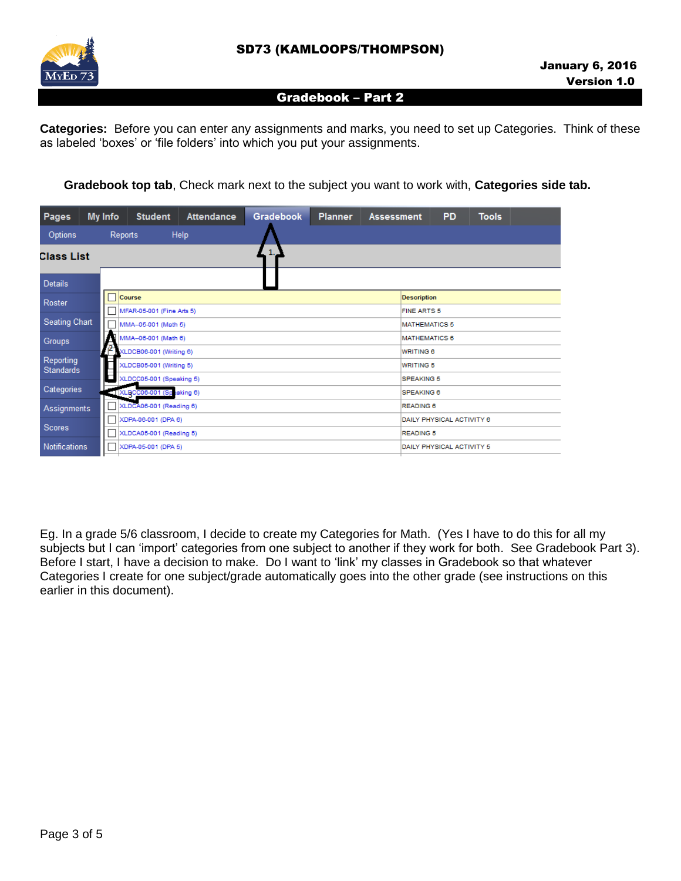

**Categories:** Before you can enter any assignments and marks, you need to set up Categories. Think of these as labeled 'boxes' or 'file folders' into which you put your assignments.

 **Gradebook top tab**, Check mark next to the subject you want to work with, **Categories side tab.**

| <b>Pages</b>                  | My Info          | <b>Student</b>                                   | <b>Attendance</b> | <b>Gradebook</b> | <b>Planner</b> | <b>Assessment</b>  | <b>PD</b> | <b>Tools</b>       |  |
|-------------------------------|------------------|--------------------------------------------------|-------------------|------------------|----------------|--------------------|-----------|--------------------|--|
| Options                       | Reports          |                                                  | Help              |                  |                |                    |           |                    |  |
|                               | 1.<br>Class List |                                                  |                   |                  |                |                    |           |                    |  |
| <b>Details</b>                |                  |                                                  |                   |                  |                |                    |           |                    |  |
| Roster                        |                  | Course                                           |                   |                  |                | <b>Description</b> |           |                    |  |
|                               | L                | MFAR-05-001 (Fine Arts 5)                        |                   |                  |                |                    |           | <b>FINE ARTS 5</b> |  |
| Seating Chart                 |                  | MMA--05-001 (Math 5)<br><b>MATHEMATICS 5</b>     |                   |                  |                |                    |           |                    |  |
| Groups                        |                  | MMA--06-001 (Math 6)<br><b>MATHEMATICS 6</b>     |                   |                  |                |                    |           |                    |  |
|                               | 2                | XLDCB06-001 (Writing 6)<br><b>WRITING 6</b>      |                   |                  |                |                    |           |                    |  |
| Reporting<br><b>Standards</b> |                  | XLDCB05-001 (Writing 5)<br><b>WRITING 5</b>      |                   |                  |                |                    |           |                    |  |
|                               |                  | XLDCC05-001 (Speaking 5)<br><b>SPEAKING 5</b>    |                   |                  |                |                    |           |                    |  |
| Categories                    |                  | XLBCC06-001 (Speaking 6)<br><b>SPEAKING 6</b>    |                   |                  |                |                    |           |                    |  |
| Assignments                   |                  | XLDCA06-001 (Reading 6)<br><b>READING 6</b>      |                   |                  |                |                    |           |                    |  |
|                               |                  | XDPA-06-001 (DPA 6)<br>DAILY PHYSICAL ACTIVITY 6 |                   |                  |                |                    |           |                    |  |
| <b>Scores</b>                 | Г                | XLDCA05-001 (Reading 5)<br><b>READING 5</b>      |                   |                  |                |                    |           |                    |  |
| <b>Notifications</b>          |                  | XDPA-05-001 (DPA 5)<br>DAILY PHYSICAL ACTIVITY 5 |                   |                  |                |                    |           |                    |  |
|                               |                  |                                                  |                   |                  |                |                    |           |                    |  |

Eg. In a grade 5/6 classroom, I decide to create my Categories for Math. (Yes I have to do this for all my subjects but I can 'import' categories from one subject to another if they work for both. See Gradebook Part 3). Before I start, I have a decision to make. Do I want to 'link' my classes in Gradebook so that whatever Categories I create for one subject/grade automatically goes into the other grade (see instructions on this earlier in this document).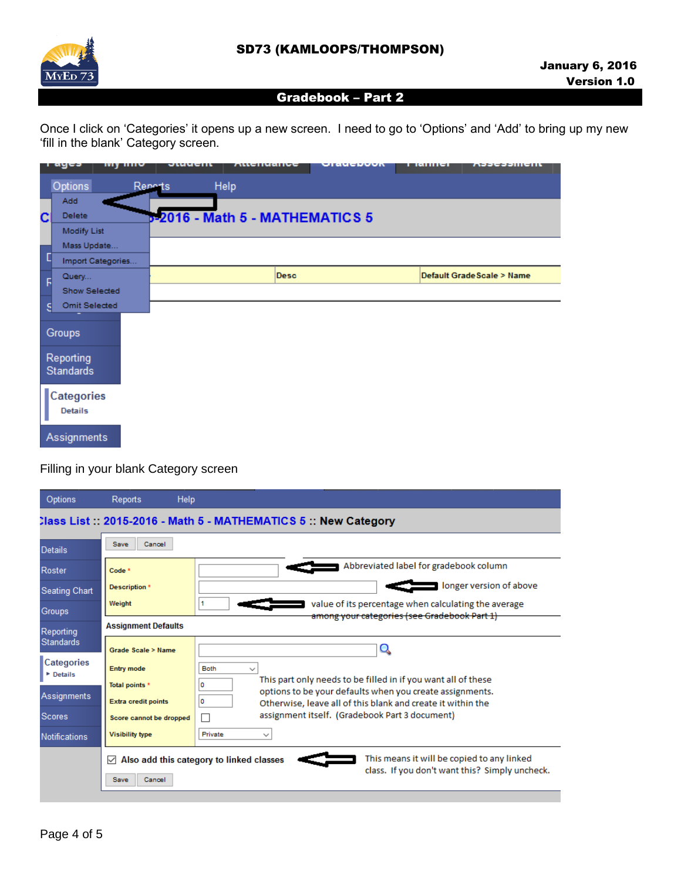

Once I click on 'Categories' it opens up a new screen. I need to go to 'Options' and 'Add' to bring up my new 'fill in the blank' Category screen.

|   | ı aycə<br><b>My HILL</b>      | <b>OMMACITE</b> | URCHASHOC                              | ulauchuun | ד ומחוורו | <b>VASSESSMICHT</b>        |
|---|-------------------------------|-----------------|----------------------------------------|-----------|-----------|----------------------------|
|   | Options                       | Reports         | Help                                   |           |           |                            |
|   | Add                           |                 |                                        |           |           |                            |
| C | <b>Delete</b>                 |                 | <b>B-2016 - Math 5 - MATHEMATICS 5</b> |           |           |                            |
|   | <b>Modify List</b>            |                 |                                        |           |           |                            |
|   | Mass Update                   |                 |                                        |           |           |                            |
| D | Import Categories             |                 |                                        |           |           |                            |
| F | Query                         |                 | <b>Desc</b>                            |           |           | Default Grade Scale > Name |
|   | Show Selected                 |                 |                                        |           |           |                            |
| s | <b>Omit Selected</b>          |                 |                                        |           |           |                            |
|   | Groups                        |                 |                                        |           |           |                            |
|   | Reporting<br><b>Standards</b> |                 |                                        |           |           |                            |
|   | Categories<br><b>Details</b>  |                 |                                        |           |           |                            |
|   | Assignments                   |                 |                                        |           |           |                            |

# Filling in your blank Category screen

| Options                                    | Help<br><b>Reports</b>     |                                                                                                                                |  |  |  |  |
|--------------------------------------------|----------------------------|--------------------------------------------------------------------------------------------------------------------------------|--|--|--|--|
|                                            |                            | Class List:: 2015-2016 - Math 5 - MATHEMATICS 5:: New Category                                                                 |  |  |  |  |
| <b>Details</b>                             | Save<br>Cancel             |                                                                                                                                |  |  |  |  |
| Roster                                     | Code <sup>*</sup>          | Abbreviated label for gradebook column                                                                                         |  |  |  |  |
| <b>Seating Chart</b>                       | <b>Description</b> *       | longer version of above                                                                                                        |  |  |  |  |
| Groups                                     | Weight                     | value of its percentage when calculating the average<br>among your categories (see Gradebook Part 1)                           |  |  |  |  |
| Reporting                                  | <b>Assignment Defaults</b> |                                                                                                                                |  |  |  |  |
| <b>Standards</b>                           | Grade Scale > Name         |                                                                                                                                |  |  |  |  |
| <b>Categories</b><br><b><i>Cotails</i></b> | <b>Entry mode</b>          | <b>Both</b><br>$\checkmark$                                                                                                    |  |  |  |  |
|                                            | Total points *             | This part only needs to be filled in if you want all of these<br>0<br>options to be your defaults when you create assignments. |  |  |  |  |
| Assignments                                | <b>Extra credit points</b> | 0<br>Otherwise, leave all of this blank and create it within the                                                               |  |  |  |  |
| <b>Scores</b>                              | Score cannot be dropped    | assignment itself. (Gradebook Part 3 document)                                                                                 |  |  |  |  |
| <b>Notifications</b>                       | <b>Visibility type</b>     | Private<br>$\checkmark$                                                                                                        |  |  |  |  |
|                                            | $\checkmark$               | This means it will be copied to any linked<br>Also add this category to linked classes                                         |  |  |  |  |
|                                            | Save<br>Cancel             | class. If you don't want this? Simply uncheck.                                                                                 |  |  |  |  |